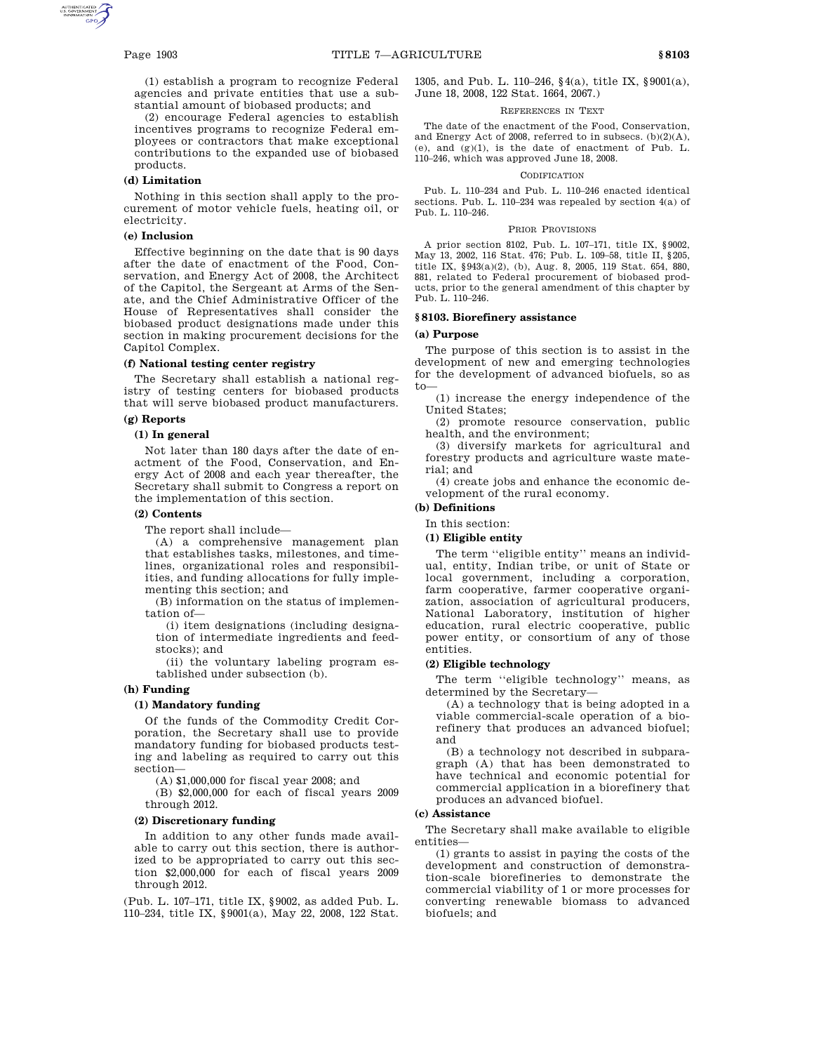(1) establish a program to recognize Federal agencies and private entities that use a substantial amount of biobased products; and

(2) encourage Federal agencies to establish incentives programs to recognize Federal employees or contractors that make exceptional contributions to the expanded use of biobased products.

## **(d) Limitation**

Nothing in this section shall apply to the procurement of motor vehicle fuels, heating oil, or electricity.

## **(e) Inclusion**

Effective beginning on the date that is 90 days after the date of enactment of the Food, Conservation, and Energy Act of 2008, the Architect of the Capitol, the Sergeant at Arms of the Senate, and the Chief Administrative Officer of the House of Representatives shall consider the biobased product designations made under this section in making procurement decisions for the Capitol Complex.

#### **(f) National testing center registry**

The Secretary shall establish a national registry of testing centers for biobased products that will serve biobased product manufacturers.

# **(g) Reports**

## **(1) In general**

Not later than 180 days after the date of enactment of the Food, Conservation, and Energy Act of 2008 and each year thereafter, the Secretary shall submit to Congress a report on the implementation of this section.

#### **(2) Contents**

The report shall include—

(A) a comprehensive management plan that establishes tasks, milestones, and timelines, organizational roles and responsibilities, and funding allocations for fully implementing this section; and

(B) information on the status of implementation of—

(i) item designations (including designation of intermediate ingredients and feedstocks); and

(ii) the voluntary labeling program established under subsection (b).

## **(h) Funding**

#### **(1) Mandatory funding**

Of the funds of the Commodity Credit Corporation, the Secretary shall use to provide mandatory funding for biobased products testing and labeling as required to carry out this section—

(A) \$1,000,000 for fiscal year 2008; and

(B) \$2,000,000 for each of fiscal years 2009 through 2012.

#### **(2) Discretionary funding**

In addition to any other funds made available to carry out this section, there is authorized to be appropriated to carry out this section \$2,000,000 for each of fiscal years 2009 through 2012.

(Pub. L. 107–171, title IX, §9002, as added Pub. L. 110–234, title IX, §9001(a), May 22, 2008, 122 Stat. 1305, and Pub. L. 110–246, §4(a), title IX, §9001(a), June 18, 2008, 122 Stat. 1664, 2067.)

## REFERENCES IN TEXT

The date of the enactment of the Food, Conservation, and Energy Act of 2008, referred to in subsecs. (b)(2)(A), (e), and  $(g)(1)$ , is the date of enactment of Pub. L. 110–246, which was approved June 18, 2008.

#### **ODIFICATION**

Pub. L. 110–234 and Pub. L. 110–246 enacted identical sections. Pub. L. 110–234 was repealed by section 4(a) of Pub. L. 110–246.

#### PRIOR PROVISIONS

A prior section 8102, Pub. L. 107–171, title IX, §9002, May 13, 2002, 116 Stat. 476; Pub. L. 109–58, title II, §205, title IX, §943(a)(2), (b), Aug. 8, 2005, 119 Stat. 654, 880, 881, related to Federal procurement of biobased products, prior to the general amendment of this chapter by Pub. L. 110–246.

#### **§ 8103. Biorefinery assistance**

## **(a) Purpose**

The purpose of this section is to assist in the development of new and emerging technologies for the development of advanced biofuels, so as to—

(1) increase the energy independence of the United States;

(2) promote resource conservation, public health, and the environment;

(3) diversify markets for agricultural and forestry products and agriculture waste material; and

(4) create jobs and enhance the economic development of the rural economy.

## **(b) Definitions**

## In this section:

**(1) Eligible entity**

The term ''eligible entity'' means an individual, entity, Indian tribe, or unit of State or local government, including a corporation, farm cooperative, farmer cooperative organization, association of agricultural producers, National Laboratory, institution of higher education, rural electric cooperative, public power entity, or consortium of any of those entities.

## **(2) Eligible technology**

The term ''eligible technology'' means, as determined by the Secretary—

(A) a technology that is being adopted in a viable commercial-scale operation of a biorefinery that produces an advanced biofuel; and

(B) a technology not described in subparagraph (A) that has been demonstrated to have technical and economic potential for commercial application in a biorefinery that produces an advanced biofuel.

## **(c) Assistance**

The Secretary shall make available to eligible entities—

(1) grants to assist in paying the costs of the development and construction of demonstration-scale biorefineries to demonstrate the commercial viability of 1 or more processes for converting renewable biomass to advanced biofuels; and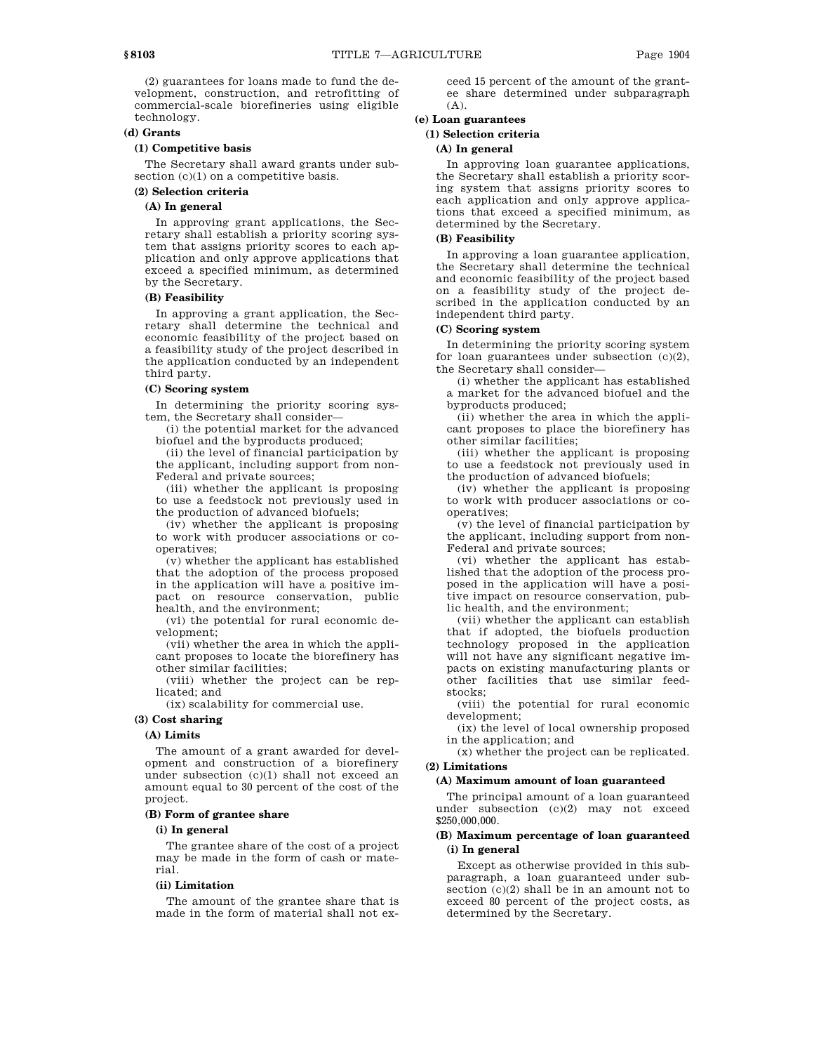(2) guarantees for loans made to fund the development, construction, and retrofitting of commercial-scale biorefineries using eligible technology.

## **(d) Grants**

## **(1) Competitive basis**

The Secretary shall award grants under subsection  $(c)(1)$  on a competitive basis.

## **(2) Selection criteria**

# **(A) In general**

In approving grant applications, the Secretary shall establish a priority scoring system that assigns priority scores to each application and only approve applications that exceed a specified minimum, as determined by the Secretary.

## **(B) Feasibility**

In approving a grant application, the Secretary shall determine the technical and economic feasibility of the project based on a feasibility study of the project described in the application conducted by an independent third party.

#### **(C) Scoring system**

In determining the priority scoring system, the Secretary shall consider—

(i) the potential market for the advanced biofuel and the byproducts produced;

(ii) the level of financial participation by the applicant, including support from non-Federal and private sources;

(iii) whether the applicant is proposing to use a feedstock not previously used in the production of advanced biofuels;

(iv) whether the applicant is proposing to work with producer associations or cooperatives;

(v) whether the applicant has established that the adoption of the process proposed in the application will have a positive impact on resource conservation, public health, and the environment;

(vi) the potential for rural economic development;

(vii) whether the area in which the applicant proposes to locate the biorefinery has other similar facilities;

(viii) whether the project can be replicated; and

(ix) scalability for commercial use.

## **(3) Cost sharing**

## **(A) Limits**

The amount of a grant awarded for development and construction of a biorefinery under subsection (c)(1) shall not exceed an amount equal to 30 percent of the cost of the project.

# **(B) Form of grantee share**

#### **(i) In general**

The grantee share of the cost of a project may be made in the form of cash or material.

#### **(ii) Limitation**

The amount of the grantee share that is made in the form of material shall not exceed 15 percent of the amount of the grantee share determined under subparagraph (A).

## **(e) Loan guarantees**

# **(1) Selection criteria**

#### **(A) In general**

In approving loan guarantee applications, the Secretary shall establish a priority scoring system that assigns priority scores to each application and only approve applications that exceed a specified minimum, as determined by the Secretary.

## **(B) Feasibility**

In approving a loan guarantee application, the Secretary shall determine the technical and economic feasibility of the project based on a feasibility study of the project described in the application conducted by an independent third party.

## **(C) Scoring system**

In determining the priority scoring system for loan guarantees under subsection (c)(2), the Secretary shall consider—

(i) whether the applicant has established a market for the advanced biofuel and the byproducts produced;

(ii) whether the area in which the applicant proposes to place the biorefinery has other similar facilities;

(iii) whether the applicant is proposing to use a feedstock not previously used in the production of advanced biofuels;

(iv) whether the applicant is proposing to work with producer associations or cooperatives;

(v) the level of financial participation by the applicant, including support from non-Federal and private sources;

(vi) whether the applicant has established that the adoption of the process proposed in the application will have a positive impact on resource conservation, public health, and the environment;

(vii) whether the applicant can establish that if adopted, the biofuels production technology proposed in the application will not have any significant negative impacts on existing manufacturing plants or other facilities that use similar feedstocks:

(viii) the potential for rural economic development;

(ix) the level of local ownership proposed in the application; and

(x) whether the project can be replicated. **(2) Limitations**

# **(A) Maximum amount of loan guaranteed**

The principal amount of a loan guaranteed under subsection (c)(2) may not exceed \$250,000,000.

## **(B) Maximum percentage of loan guaranteed (i) In general**

Except as otherwise provided in this subparagraph, a loan guaranteed under subsection  $(c)(2)$  shall be in an amount not to exceed 80 percent of the project costs, as determined by the Secretary.